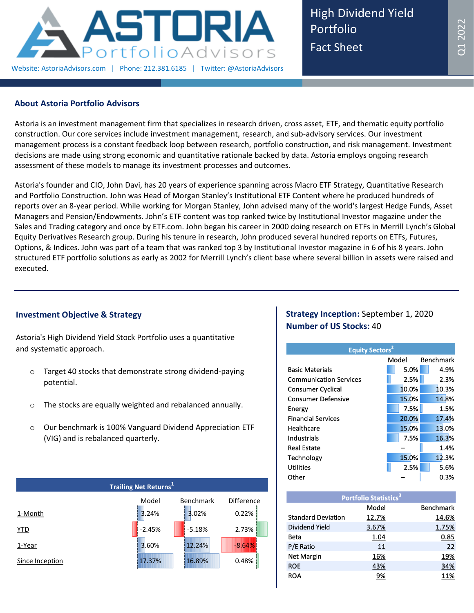

High Dividend Yield Portfolio Fact Sheet

### **About Astoria Portfolio Advisors**

Astoria is an investment management firm that specializes in research driven, cross asset, ETF, and thematic equity portfolio construction. Our core services include investment management, research, and sub-advisory services. Our investment management process is a constant feedback loop between research, portfolio construction, and risk management. Investment decisions are made using strong economic and quantitative rationale backed by data. Astoria employs ongoing research assessment of these models to manage its investment processes and outcomes.

Astoria's founder and CIO, John Davi, has 20 years of experience spanning across Macro ETF Strategy, Quantitative Research and Portfolio Construction. John was Head of Morgan Stanley's Institutional ETF Content where he produced hundreds of reports over an 8-year period. While working for Morgan Stanley, John advised many of the world's largest Hedge Funds, Asset Managers and Pension/Endowments. John's ETF content was top ranked twice by Institutional Investor magazine under the Sales and Trading category and once by ETF.com. John began his career in 2000 doing research on ETFs in Merrill Lynch's Global Equity Derivatives Research group. During his tenure in research, John produced several hundred reports on ETFs, Futures, Options, & Indices. John was part of a team that was ranked top 3 by Institutional Investor magazine in 6 of his 8 years. John structured ETF portfolio solutions as early as 2002 for Merrill Lynch's client base where several billion in assets were raised and executed.

# **Investment Objective & Strategy**

Astoria's High Dividend Yield Stock Portfolio uses a quantitative and systematic approach.

- o Target 40 stocks that demonstrate strong dividend-paying potential.
- o The stocks are equally weighted and rebalanced annually.
- o Our benchmark is 100% Vanguard Dividend Appreciation ETF (VIG) and is rebalanced quarterly.

| Trailing Net Returns <sup>1</sup> |          |                  |                   |  |  |  |  |  |
|-----------------------------------|----------|------------------|-------------------|--|--|--|--|--|
|                                   | Model    | <b>Benchmark</b> | <b>Difference</b> |  |  |  |  |  |
| 1-Month                           | 3.24%    | 3.02%            | 0.22%             |  |  |  |  |  |
| YTD                               | $-2.45%$ | $-5.18%$         | 2.73%             |  |  |  |  |  |
| 1-Year                            | 3.60%    | 12.24%           | $-8.64%$          |  |  |  |  |  |
| Since Inception                   | 17.37%   | 16.89%           | 0.48%             |  |  |  |  |  |

## **Strategy Inception:** September 1, 2020 **Number of US Stocks:** 40

| <b>Equity Sectors</b> <sup>2</sup> |       |                  |  |  |  |  |  |  |
|------------------------------------|-------|------------------|--|--|--|--|--|--|
|                                    | Model | <b>Benchmark</b> |  |  |  |  |  |  |
| <b>Basic Materials</b>             | 5.0%  | 4.9%             |  |  |  |  |  |  |
| <b>Communication Services</b>      | 2.5%  | 2.3%             |  |  |  |  |  |  |
| <b>Consumer Cyclical</b>           | 10.0% | 10.3%            |  |  |  |  |  |  |
| <b>Consumer Defensive</b>          | 15.0% | 14.8%            |  |  |  |  |  |  |
| Energy                             | 7.5%  | 1.5%             |  |  |  |  |  |  |
| <b>Financial Services</b>          | 20.0% | 17.4%            |  |  |  |  |  |  |
| Healthcare                         | 15.0% | 13.0%            |  |  |  |  |  |  |
| Industrials                        | 7.5%  | 16.3%            |  |  |  |  |  |  |
| <b>Real Estate</b>                 |       | 1.4%             |  |  |  |  |  |  |
| Technology                         | 15.0% | 12.3%            |  |  |  |  |  |  |
| Utilities                          | 2.5%  | 5.6%             |  |  |  |  |  |  |
| Other                              |       | 0.3%             |  |  |  |  |  |  |

| <b>Portfolio Statistics<sup>3</sup></b> |       |                  |  |  |  |  |  |  |
|-----------------------------------------|-------|------------------|--|--|--|--|--|--|
|                                         | Model | <b>Benchmark</b> |  |  |  |  |  |  |
| <b>Standard Deviation</b>               | 12.7% | 14.6%            |  |  |  |  |  |  |
| Dividend Yield                          | 3.67% | 1.75%            |  |  |  |  |  |  |
| Beta                                    | 1.04  | 0.85             |  |  |  |  |  |  |
| P/E Ratio                               | 11    | 22               |  |  |  |  |  |  |
| Net Margin                              | 16%   | 19%              |  |  |  |  |  |  |
| <b>ROE</b>                              | 43%   | 34%              |  |  |  |  |  |  |
| <b>ROA</b>                              | 9%    | 11%              |  |  |  |  |  |  |